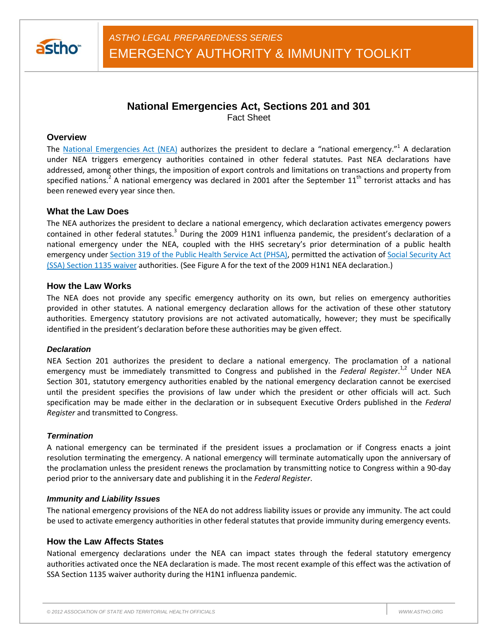

# **National Emergencies Act, Sections 201 and 301**

Fact Sheet

## **Overview**

The National Emergencies Act (NEA) authorizes the president to declare a "national emergency."<sup>1</sup> A declaration under NEA triggers emergency authorities contained in other federal statutes. Past NEA declarations have addressed, among other things, the imposition of export controls and limitations on transactions and property from specified nations.<sup>2</sup> A national emergency was declared in 2001 after the September  $11<sup>th</sup>$  terrorist attacks and has been renewed every year since then.

# **What the Law Does**

The NEA authorizes the president to declare a national emergency, which declaration activates emergency powers contained in other federal statutes.<sup>3</sup> During the 2009 H1N1 influenza pandemic, the president's declaration of a national emergency under the NEA, coupled with the HHS secretary's prior determination of a public health emergency under Section 319 of the Public Health Service Act (PHSA), permitted the activation of Social Security Act (SSA) Section 1135 waiver authorities. (See Figure A for the text of the 2009 H1N1 NEA declaration.)

# **How the Law Works**

The NEA does not provide any specific emergency authority on its own, but relies on emergency authorities provided in other statutes. A national emergency declaration allows for the activation of these other statutory authorities. Emergency statutory provisions are not activated automatically, however; they must be specifically identified in the president's declaration before these authorities may be given effect.

## *Declaration*

NEA Section 201 authorizes the president to declare a national emergency. The proclamation of a national emergency must be immediately transmitted to Congress and published in the *Federal Register*. 1,2 Under NEA Section 301, statutory emergency authorities enabled by the national emergency declaration cannot be exercised until the president specifies the provisions of law under which the president or other officials will act. Such specification may be made either in the declaration or in subsequent Executive Orders published in the *Federal Register* and transmitted to Congress.

## *Termination*

A national emergency can be terminated if the president issues a proclamation or if Congress enacts a joint resolution terminating the emergency. A national emergency will terminate automatically upon the anniversary of the proclamation unless the president renews the proclamation by transmitting notice to Congress within a 90-day period prior to the anniversary date and publishing it in the *Federal Register*.

## *Immunity and Liability Issues*

The national emergency provisions of the NEA do not address liability issues or provide any immunity. The act could be used to activate emergency authorities in other federal statutes that provide immunity during emergency events.

# **How the Law Affects States**

National emergency declarations under the NEA can impact states through the federal statutory emergency authorities activated once the NEA declaration is made. The most recent example of this effect was the activation of SSA Section 1135 waiver authority during the H1N1 influenza pandemic.